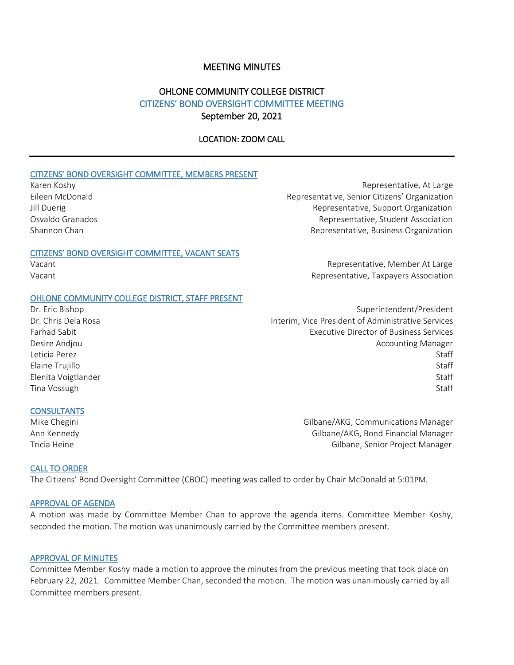# MEETING MINUTES

# OHLONE COMMUNITY COLLEGE DISTRICT CITIZENS' BOND OVERSIGHT COMMITTEE MEETING September 20, 2021

# LOCATION: ZOOM CALL

#### CITIZENS' BOND OVERSIGHT COMMITTEE, MEMBERS PRESENT

#### CITIZENS' BOND OVERSIGHT COMMITTEE, VACANT SEATS

## OHLONE COMMUNITY COLLEGE DISTRICT, STAFF PRESENT

#### **CONSULTANTS**

Karen Koshy Representative, At Large Eileen McDonald Representative, Senior Citizens' Organization Jill Duerig **The Community Community** Representative, Support Organization Osvaldo Granados Representative, Student Association Shannon Chan Representative, Business Organization Representative, Business Organization

Vacant **Account Representative, Member At Large** Representative, Member At Large Vacant Representative, Taxpayers Association

Dr. Eric Bishop Superintendent/President Dr. Chris Dela Rosa Interim, Vice President of Administrative Services Farhad Sabit Executive Director of Business Services Desire Andjou **Accounting Manager** Desire Andjou Leticia Perez Staff Elaine Trujillo Staff Elenita Voigtlander Staff Tina Vossugh Staff **Staff** Staff Staff Staff Staff Staff Staff Staff Staff Staff Staff Staff Staff Staff Staff Staff Staff Staff Staff Staff Staff Staff Staff Staff Staff Staff Staff Staff Staff Staff Staff Staff Staff Sta

Mike Chegini Gilbane/AKG, Communications Manager Ann Kennedy Gilbane/AKG, Bond Financial Manager Tricia Heine Gilbane, Senior Project Manager

#### CALL TO ORDER

The Citizens' Bond Oversight Committee (CBOC) meeting was called to order by Chair McDonald at 5:01PM.

# APPROVAL OF AGENDA

A motion was made by Committee Member Chan to approve the agenda items. Committee Member Koshy, seconded the motion. The motion was unanimously carried by the Committee members present.

# APPROVAL OF MINUTES

Committee Member Koshy made a motion to approve the minutes from the previous meeting that took place on February 22, 2021. Committee Member Chan, seconded the motion. The motion was unanimously carried by all Committee members present.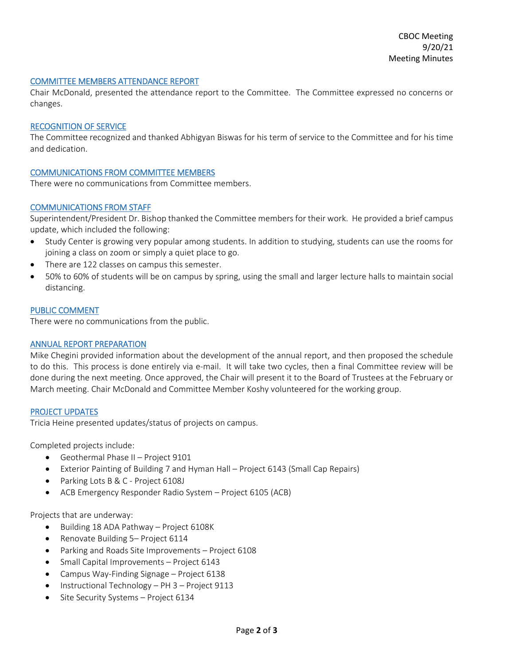#### COMMITTEE MEMBERS ATTENDANCE REPORT

Chair McDonald, presented the attendance report to the Committee. The Committee expressed no concerns or changes.

#### RECOGNITION OF SERVICE

The Committee recognized and thanked Abhigyan Biswas for his term of service to the Committee and for his time and dedication.

# COMMUNICATIONS FROM COMMITTEE MEMBERS

There were no communications from Committee members.

# COMMUNICATIONS FROM STAFF

Superintendent/President Dr. Bishop thanked the Committee members for their work. He provided a brief campus update, which included the following:

- Study Center is growing very popular among students. In addition to studying, students can use the rooms for joining a class on zoom or simply a quiet place to go.
- There are 122 classes on campus this semester.
- 50% to 60% of students will be on campus by spring, using the small and larger lecture halls to maintain social distancing.

#### PUBLIC COMMENT

There were no communications from the public.

#### ANNUAL REPORT PREPARATION

Mike Chegini provided information about the development of the annual report, and then proposed the schedule to do this. This process is done entirely via e-mail. It will take two cycles, then a final Committee review will be done during the next meeting. Once approved, the Chair will present it to the Board of Trustees at the February or March meeting. Chair McDonald and Committee Member Koshy volunteered for the working group.

#### PROJECT UPDATES

Tricia Heine presented updates/status of projects on campus.

Completed projects include:

- Geothermal Phase II Project 9101
- Exterior Painting of Building 7 and Hyman Hall Project 6143 (Small Cap Repairs)
- Parking Lots B & C Project 6108J
- ACB Emergency Responder Radio System Project 6105 (ACB)

Projects that are underway:

- Building 18 ADA Pathway Project 6108K
- Renovate Building 5– Project 6114
- Parking and Roads Site Improvements Project 6108
- Small Capital Improvements Project 6143
- Campus Way-Finding Signage Project 6138
- Instructional Technology PH 3 Project 9113
- Site Security Systems Project 6134